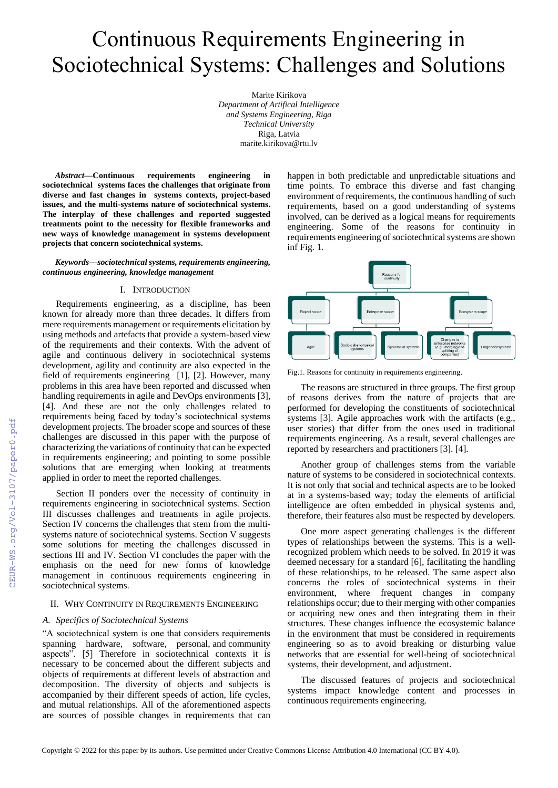# Continuous Requirements Engineering in Sociotechnical Systems: Challenges and Solutions

Marite Kirikova *Department of Artifical Intelligence and Systems Engineering, Riga Technical University*  Riga, Latvia marite.kirikova@rtu.lv

*Abstract***—Continuous requirements engineering in sociotechnical systems faces the challenges that originate from diverse and fast changes in systems contexts, project-based issues, and the multi-systems nature of sociotechnical systems. The interplay of these challenges and reported suggested treatments point to the necessity for flexible frameworks and new ways of knowledge management in systems development projects that concern sociotechnical systems.**

*Keywords—sociotechnical systems, requirements engineering, continuous engineering, knowledge management*

#### I. INTRODUCTION

Requirements engineering, as a discipline, has been known for already more than three decades. It differs from mere requirements management or requirements elicitation by using methods and artefacts that provide a system-based view of the requirements and their contexts. With the advent of agile and continuous delivery in sociotechnical systems development, agility and continuity are also expected in the field of requirements engineering [1], [2]. However, many problems in this area have been reported and discussed when handling requirements in agile and DevOps environments [3], [4]. And these are not the only challenges related to requirements being faced by today's sociotechnical systems development projects. The broader scope and sources of these challenges are discussed in this paper with the purpose of characterizing the variations of continuity that can be expected in requirements engineering; and pointing to some possible solutions that are emerging when looking at treatments applied in order to meet the reported challenges.

Section II ponders over the necessity of continuity in requirements engineering in sociotechnical systems. Section III discusses challenges and treatments in agile projects. Section IV concerns the challenges that stem from the multisystems nature of sociotechnical systems. Section V suggests some solutions for meeting the challenges discussed in sections III and IV. Section VI concludes the paper with the emphasis on the need for new forms of knowledge management in continuous requirements engineering in sociotechnical systems.

#### II. WHY CONTINUITY IN REQUIREMENTS ENGINEERING

#### *A. Specifics of Sociotechnical Systems*

"A sociotechnical system is one that considers requirements spanning hardware, software, personal, and community aspects". [5] Therefore in sociotechnical contexts it is necessary to be concerned about the different subjects and objects of requirements at different levels of abstraction and decomposition. The diversity of objects and subjects is accompanied by their different speeds of action, life cycles, and mutual relationships. All of the aforementioned aspects are sources of possible changes in requirements that can happen in both predictable and unpredictable situations and time points. To embrace this diverse and fast changing environment of requirements, the continuous handling of such requirements, based on a good understanding of systems involved, can be derived as a logical means for requirements engineering. Some of the reasons for continuity in requirements engineering of sociotechnical systems are shown inf Fig. 1.



Fig.1. Reasons for continuity in requirements engineering.

The reasons are structured in three groups. The first group of reasons derives from the nature of projects that are performed for developing the constituents of sociotechnical systems [3]. Agile approaches work with the artifacts (e.g., user stories) that differ from the ones used in traditional requirements engineering. As a result, several challenges are reported by researchers and practitioners [3]. [4].

Another group of challenges stems from the variable nature of systems to be considered in sociotechnical contexts. It is not only that social and technical aspects are to be looked at in a systems-based way; today the elements of artificial intelligence are often embedded in physical systems and, therefore, their features also must be respected by developers.

One more aspect generating challenges is the different types of relationships between the systems. This is a wellrecognized problem which needs to be solved. In 2019 it was deemed necessary for a standard [6], facilitating the handling of these relationships, to be released. The same aspect also concerns the roles of sociotechnical systems in their environment, where frequent changes in company relationships occur; due to their merging with other companies or acquiring new ones and then integrating them in their structures. These changes influence the ecosystemic balance in the environment that must be considered in requirements engineering so as to avoid breaking or disturbing value networks that are essential for well-being of sociotechnical systems, their development, and adjustment.

The discussed features of projects and sociotechnical systems impact knowledge content and processes in continuous requirements engineering.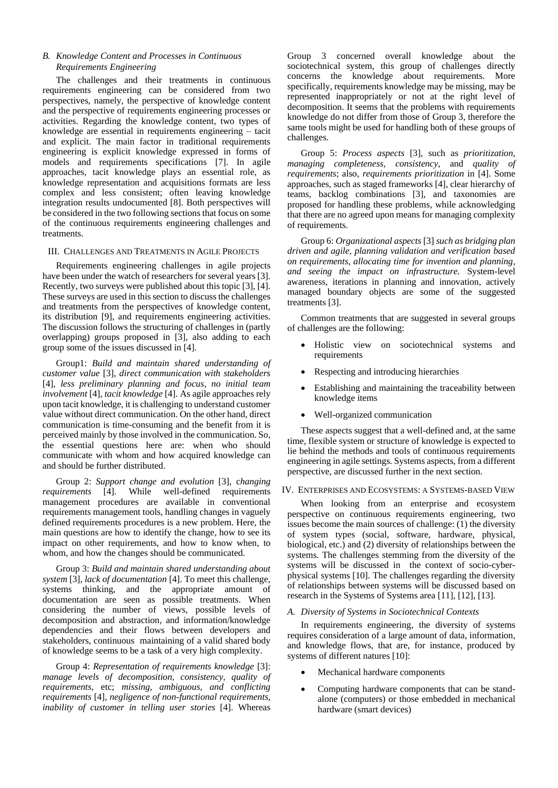## *B. Knowledge Content and Processes in Continuous Requirements Engineering*

The challenges and their treatments in continuous requirements engineering can be considered from two perspectives, namely, the perspective of knowledge content and the perspective of requirements engineering processes or activities. Regarding the knowledge content, two types of knowledge are essential in requirements engineering – tacit and explicit. The main factor in traditional requirements engineering is explicit knowledge expressed in forms of models and requirements specifications [7]. In agile approaches, tacit knowledge plays an essential role, as knowledge representation and acquisitions formats are less complex and less consistent; often leaving knowledge integration results undocumented [8]. Both perspectives will be considered in the two following sections that focus on some of the continuous requirements engineering challenges and treatments.

## III. CHALLENGES AND TREATMENTS IN AGILE PROJECTS

Requirements engineering challenges in agile projects have been under the watch of researchers for several years [3]. Recently, two surveys were published about this topic [3], [4]. These surveys are used in this section to discuss the challenges and treatments from the perspectives of knowledge content, its distribution [9], and requirements engineering activities. The discussion follows the structuring of challenges in (partly overlapping) groups proposed in [3], also adding to each group some of the issues discussed in [4].

Group1: *Build and maintain shared understanding of customer value* [3], *direct communication with stakeholders* [4], *less preliminary planning and focus*, *no initial team involvement* [4], *tacit knowledge* [4]. As agile approaches rely upon tacit knowledge, it is challenging to understand customer value without direct communication. On the other hand, direct communication is time-consuming and the benefit from it is perceived mainly by those involved in the communication. So, the essential questions here are: when who should communicate with whom and how acquired knowledge can and should be further distributed.

Group 2: *Support change and evolution* [3], c*hanging requirements* [4]. While well-defined requirements management procedures are available in conventional requirements management tools, handling changes in vaguely defined requirements procedures is a new problem. Here, the main questions are how to identify the change, how to see its impact on other requirements, and how to know when, to whom, and how the changes should be communicated.

Group 3: *Build and maintain shared understanding about system* [3], *lack of documentation* [4]. To meet this challenge, systems thinking, and the appropriate amount of documentation are seen as possible treatments. When considering the number of views, possible levels of decomposition and abstraction, and information/knowledge dependencies and their flows between developers and stakeholders, continuous maintaining of a valid shared body of knowledge seems to be a task of a very high complexity.

Group 4: *Representation of requirements knowledge* [3]: *manage levels of decomposition, consistency, quality of requirements*, etc; *missing, ambiguous, and conflicting requirements* [4], *negligence of non-functional requirements, inability of customer in telling user stories* [4]. Whereas

Group 3 concerned overall knowledge about the sociotechnical system, this group of challenges directly concerns the knowledge about requirements. More specifically, requirements knowledge may be missing, may be represented inappropriately or not at the right level of decomposition. It seems that the problems with requirements knowledge do not differ from those of Group 3, therefore the same tools might be used for handling both of these groups of challenges.

Group 5: *Process aspects* [3], such as *prioritization, managing completeness, consistency*, and *quality of requirements*; also, *requirements prioritization* in [4]. Some approaches, such as staged frameworks [4], clear hierarchy of teams, backlog combinations [3], and taxonomies are proposed for handling these problems, while acknowledging that there are no agreed upon means for managing complexity of requirements.

Group 6: *Organizational aspects* [3] *such as bridging plan driven and agile, planning validation and verification based on requirements, allocating time for invention and planning, and seeing the impact on infrastructure.* System-level awareness, iterations in planning and innovation, actively managed boundary objects are some of the suggested treatments [3].

Common treatments that are suggested in several groups of challenges are the following:

- Holistic view on sociotechnical systems and requirements
- Respecting and introducing hierarchies
- Establishing and maintaining the traceability between knowledge items
- Well-organized communication

These aspects suggest that a well-defined and, at the same time, flexible system or structure of knowledge is expected to lie behind the methods and tools of continuous requirements engineering in agile settings. Systems aspects, from a different perspective, are discussed further in the next section.

#### IV. ENTERPRISES AND ECOSYSTEMS: A SYSTEMS-BASED VIEW

When looking from an enterprise and ecosystem perspective on continuous requirements engineering, two issues become the main sources of challenge: (1) the diversity of system types (social, software, hardware, physical, biological, etc.) and (2) diversity of relationships between the systems. The challenges stemming from the diversity of the systems will be discussed in the context of socio-cyberphysical systems [10]. The challenges regarding the diversity of relationships between systems will be discussed based on research in the Systems of Systems area [11], [12], [13].

#### *A. Diversity of Systems in Sociotechnical Contexts*

In requirements engineering, the diversity of systems requires consideration of a large amount of data, information, and knowledge flows, that are, for instance, produced by systems of different natures [10]:

- Mechanical hardware components
- Computing hardware components that can be standalone (computers) or those embedded in mechanical hardware (smart devices)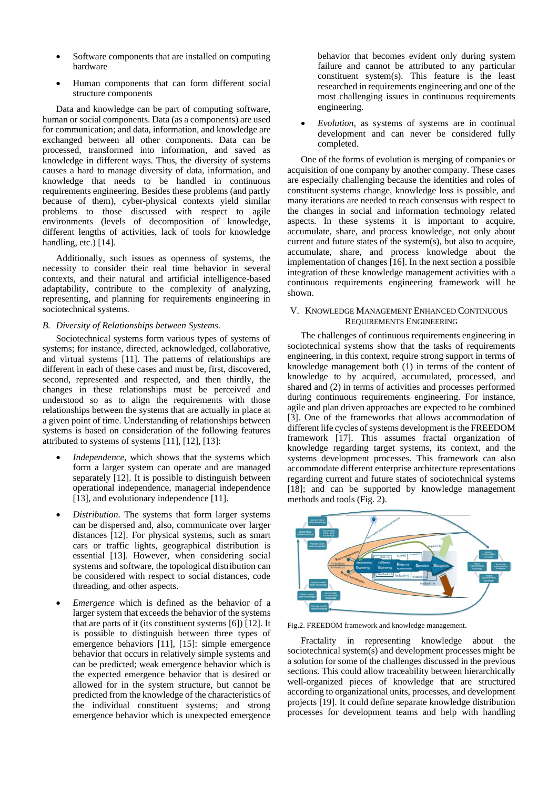- Software components that are installed on computing hardware
- Human components that can form different social structure components

Data and knowledge can be part of computing software, human or social components. Data (as a components) are used for communication; and data, information, and knowledge are exchanged between all other components. Data can be processed, transformed into information, and saved as knowledge in different ways. Thus, the diversity of systems causes a hard to manage diversity of data, information, and knowledge that needs to be handled in continuous requirements engineering. Besides these problems (and partly because of them), cyber-physical contexts yield similar problems to those discussed with respect to agile environments (levels of decomposition of knowledge, different lengths of activities, lack of tools for knowledge handling, etc.) [14].

Additionally, such issues as openness of systems, the necessity to consider their real time behavior in several contexts, and their natural and artificial intelligence-based adaptability, contribute to the complexity of analyzing, representing, and planning for requirements engineering in sociotechnical systems.

## *B. Diversity of Relationships between Systems.*

Sociotechnical systems form various types of systems of systems; for instance, directed, acknowledged, collaborative, and virtual systems [11]. The patterns of relationships are different in each of these cases and must be, first, discovered, second, represented and respected, and then thirdly, the changes in these relationships must be perceived and understood so as to align the requirements with those relationships between the systems that are actually in place at a given point of time. Understanding of relationships between systems is based on consideration of the following features attributed to systems of systems [11], [12], [13]:

- *Independence*, which shows that the systems which form a larger system can operate and are managed separately [12]. It is possible to distinguish between operational independence, managerial independence [13], and evolutionary independence [11].
- *Distribution*. The systems that form larger systems can be dispersed and, also, communicate over larger distances [12]. For physical systems, such as smart cars or traffic lights, geographical distribution is essential [13]. However, when considering social systems and software, the topological distribution can be considered with respect to social distances, code threading, and other aspects.
- *Emergence* which is defined as the behavior of a larger system that exceeds the behavior of the systems that are parts of it (its constituent systems [6]) [12]. It is possible to distinguish between three types of emergence behaviors [11], [15]: simple emergence behavior that occurs in relatively simple systems and can be predicted; weak emergence behavior which is the expected emergence behavior that is desired or allowed for in the system structure, but cannot be predicted from the knowledge of the characteristics of the individual constituent systems; and strong emergence behavior which is unexpected emergence

behavior that becomes evident only during system failure and cannot be attributed to any particular constituent system(s). This feature is the least researched in requirements engineering and one of the most challenging issues in continuous requirements engineering.

• *Evolution*, as systems of systems are in continual development and can never be considered fully completed.

One of the forms of evolution is merging of companies or acquisition of one company by another company. These cases are especially challenging because the identities and roles of constituent systems change, knowledge loss is possible, and many iterations are needed to reach consensus with respect to the changes in social and information technology related aspects. In these systems it is important to acquire, accumulate, share, and process knowledge, not only about current and future states of the system(s), but also to acquire, accumulate, share, and process knowledge about the implementation of changes [16]. In the next section a possible integration of these knowledge management activities with a continuous requirements engineering framework will be shown.

# V. KNOWLEDGE MANAGEMENT ENHANCED CONTINUOUS REQUIREMENTS ENGINEERING

The challenges of continuous requirements engineering in sociotechnical systems show that the tasks of requirements engineering, in this context, require strong support in terms of knowledge management both (1) in terms of the content of knowledge to by acquired, accumulated, processed, and shared and (2) in terms of activities and processes performed during continuous requirements engineering. For instance, agile and plan driven approaches are expected to be combined [3]. One of the frameworks that allows accommodation of different life cycles of systems development is the FREEDOM framework [17]. This assumes fractal organization of knowledge regarding target systems, its context, and the systems development processes. This framework can also accommodate different enterprise architecture representations regarding current and future states of sociotechnical systems [18]; and can be supported by knowledge management methods and tools (Fig. 2).



Fig.2. FREEDOM framework and knowledge management.

Fractality in representing knowledge about the sociotechnical system(s) and development processes might be a solution for some of the challenges discussed in the previous sections. This could allow traceability between hierarchically well-organized pieces of knowledge that are structured according to organizational units, processes, and development projects [19]. It could define separate knowledge distribution processes for development teams and help with handling